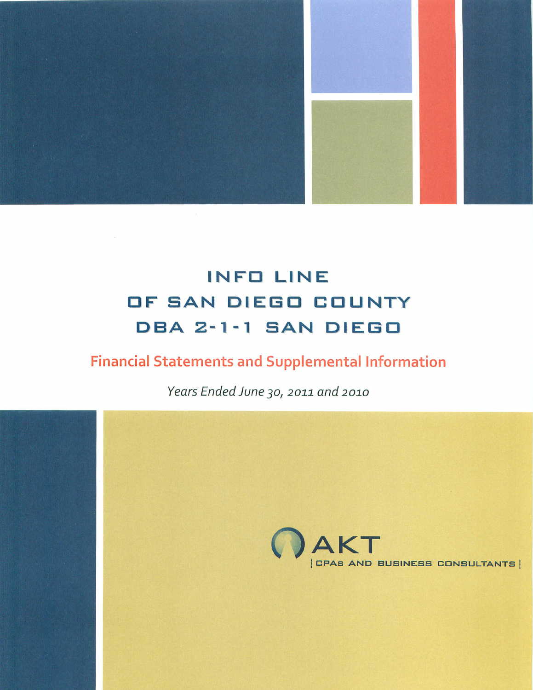

# **Financial Statements and Supplemental Information**

Years Ended June 30, 2011 and 2010

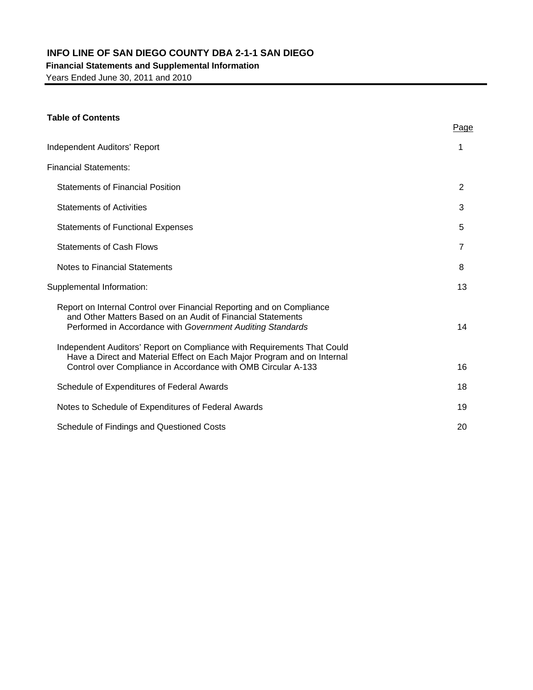# **Financial Statements and Supplemental Information**

Years Ended June 30, 2011 and 2010

# **Table of Contents**

|                                                                                                                                                                                                                     | Page           |
|---------------------------------------------------------------------------------------------------------------------------------------------------------------------------------------------------------------------|----------------|
| <b>Independent Auditors' Report</b>                                                                                                                                                                                 | 1              |
| <b>Financial Statements:</b>                                                                                                                                                                                        |                |
| <b>Statements of Financial Position</b>                                                                                                                                                                             | $\overline{2}$ |
| <b>Statements of Activities</b>                                                                                                                                                                                     | 3              |
| <b>Statements of Functional Expenses</b>                                                                                                                                                                            | 5              |
| <b>Statements of Cash Flows</b>                                                                                                                                                                                     | 7              |
| Notes to Financial Statements                                                                                                                                                                                       | 8              |
| Supplemental Information:                                                                                                                                                                                           | 13             |
| Report on Internal Control over Financial Reporting and on Compliance<br>and Other Matters Based on an Audit of Financial Statements<br>Performed in Accordance with Government Auditing Standards                  | 14             |
| Independent Auditors' Report on Compliance with Requirements That Could<br>Have a Direct and Material Effect on Each Major Program and on Internal<br>Control over Compliance in Accordance with OMB Circular A-133 | 16             |
| Schedule of Expenditures of Federal Awards                                                                                                                                                                          | 18             |
| Notes to Schedule of Expenditures of Federal Awards                                                                                                                                                                 | 19             |
| Schedule of Findings and Questioned Costs                                                                                                                                                                           | 20             |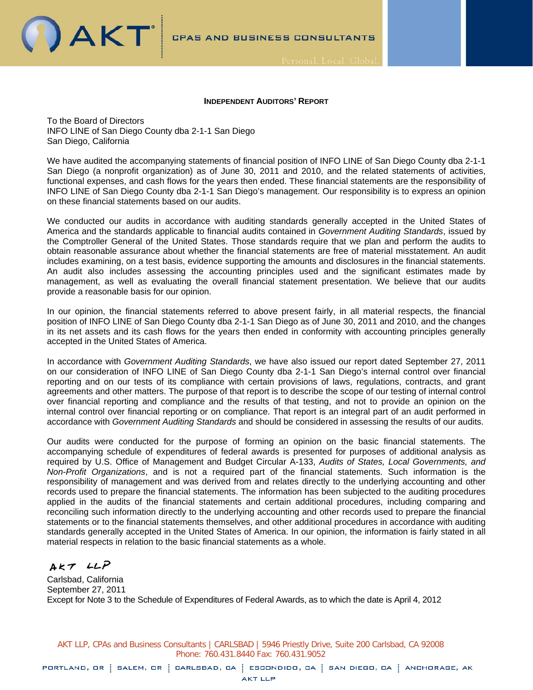

#### **INDEPENDENT AUDITORS' REPORT**

To the Board of Directors INFO LINE of San Diego County dba 2-1-1 San Diego San Diego, California

We have audited the accompanying statements of financial position of INFO LINE of San Diego County dba 2-1-1 San Diego (a nonprofit organization) as of June 30, 2011 and 2010, and the related statements of activities, functional expenses, and cash flows for the years then ended. These financial statements are the responsibility of INFO LINE of San Diego County dba 2-1-1 San Diego's management. Our responsibility is to express an opinion on these financial statements based on our audits.

We conducted our audits in accordance with auditing standards generally accepted in the United States of America and the standards applicable to financial audits contained in *Government Auditing Standards*, issued by the Comptroller General of the United States. Those standards require that we plan and perform the audits to obtain reasonable assurance about whether the financial statements are free of material misstatement. An audit includes examining, on a test basis, evidence supporting the amounts and disclosures in the financial statements. An audit also includes assessing the accounting principles used and the significant estimates made by management, as well as evaluating the overall financial statement presentation. We believe that our audits provide a reasonable basis for our opinion.

In our opinion, the financial statements referred to above present fairly, in all material respects, the financial position of INFO LINE of San Diego County dba 2-1-1 San Diego as of June 30, 2011 and 2010, and the changes in its net assets and its cash flows for the years then ended in conformity with accounting principles generally accepted in the United States of America.

In accordance with *Government Auditing Standards*, we have also issued our report dated September 27, 2011 on our consideration of INFO LINE of San Diego County dba 2-1-1 San Diego's internal control over financial reporting and on our tests of its compliance with certain provisions of laws, regulations, contracts, and grant agreements and other matters. The purpose of that report is to describe the scope of our testing of internal control over financial reporting and compliance and the results of that testing, and not to provide an opinion on the internal control over financial reporting or on compliance. That report is an integral part of an audit performed in accordance with *Government Auditing Standards* and should be considered in assessing the results of our audits.

Our audits were conducted for the purpose of forming an opinion on the basic financial statements. The accompanying schedule of expenditures of federal awards is presented for purposes of additional analysis as required by U.S. Office of Management and Budget Circular A-133, *Audits of States, Local Governments, and Non-Profit Organizations*, and is not a required part of the financial statements. Such information is the responsibility of management and was derived from and relates directly to the underlying accounting and other records used to prepare the financial statements. The information has been subjected to the auditing procedures applied in the audits of the financial statements and certain additional procedures, including comparing and reconciling such information directly to the underlying accounting and other records used to prepare the financial statements or to the financial statements themselves, and other additional procedures in accordance with auditing standards generally accepted in the United States of America. In our opinion, the information is fairly stated in all material respects in relation to the basic financial statements as a whole.

AKT LLP

Carlsbad, California September 27, 2011 Except for Note 3 to the Schedule of Expenditures of Federal Awards, as to which the date is April 4, 2012

AKT LLP, CPAs and Business Consultants | CARLSBAD | 5946 Priestly Drive, Suite 200 Carlsbad, CA 92008 Phone: 760.431.8440 Fax: 760.431.9052

PORTLAND, OR : SALEM, OR : CARLSBAD, CA : ESCONDIDO, CA : SAN DIEGO, CA : ANCHORAGE, AK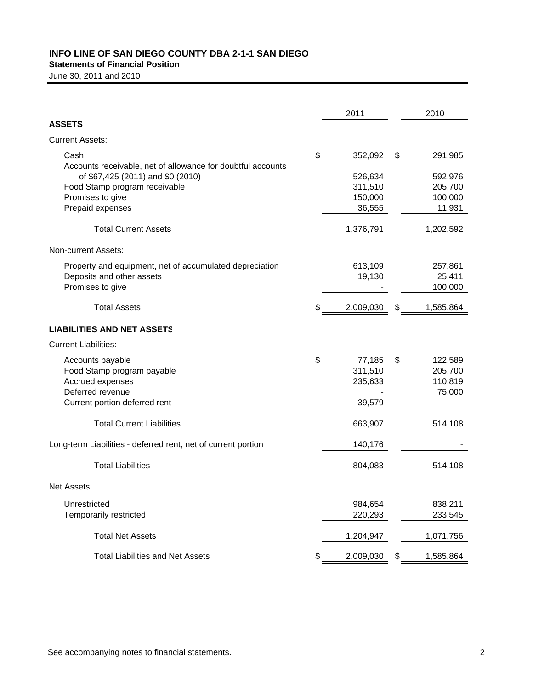# **INFO LINE OF SAN DIEGO COUNTY DBA 2-1-1 SAN DIEGO Statements of Financial Position**

June 30, 2011 and 2010

|                                                                     | 2011            | 2010            |
|---------------------------------------------------------------------|-----------------|-----------------|
| <b>ASSETS</b>                                                       |                 |                 |
| <b>Current Assets:</b>                                              |                 |                 |
| Cash<br>Accounts receivable, net of allowance for doubtful accounts | \$<br>352,092   | \$<br>291,985   |
| of \$67,425 (2011) and \$0 (2010)                                   | 526,634         | 592,976         |
| Food Stamp program receivable                                       | 311,510         | 205,700         |
| Promises to give                                                    | 150,000         | 100,000         |
| Prepaid expenses                                                    | 36,555          | 11,931          |
| <b>Total Current Assets</b>                                         | 1,376,791       | 1,202,592       |
| Non-current Assets:                                                 |                 |                 |
| Property and equipment, net of accumulated depreciation             | 613,109         | 257,861         |
| Deposits and other assets                                           | 19,130          | 25,411          |
| Promises to give                                                    |                 | 100,000         |
| <b>Total Assets</b>                                                 | \$<br>2,009,030 | \$<br>1,585,864 |
| <b>LIABILITIES AND NET ASSETS</b>                                   |                 |                 |
| <b>Current Liabilities:</b>                                         |                 |                 |
| Accounts payable                                                    | \$<br>77,185    | \$<br>122,589   |
| Food Stamp program payable                                          | 311,510         | 205,700         |
| Accrued expenses                                                    | 235,633         | 110,819         |
| Deferred revenue                                                    |                 | 75,000          |
| Current portion deferred rent                                       | 39,579          |                 |
| <b>Total Current Liabilities</b>                                    | 663,907         | 514,108         |
| Long-term Liabilities - deferred rent, net of current portion       | 140,176         |                 |
| <b>Total Liabilities</b>                                            | 804,083         | 514,108         |
| Net Assets:                                                         |                 |                 |
| Unrestricted                                                        | 984,654         | 838,211         |
| Temporarily restricted                                              | 220,293         | 233,545         |
| <b>Total Net Assets</b>                                             | 1,204,947       | 1,071,756       |
| <b>Total Liabilities and Net Assets</b>                             | \$<br>2,009,030 | \$<br>1,585,864 |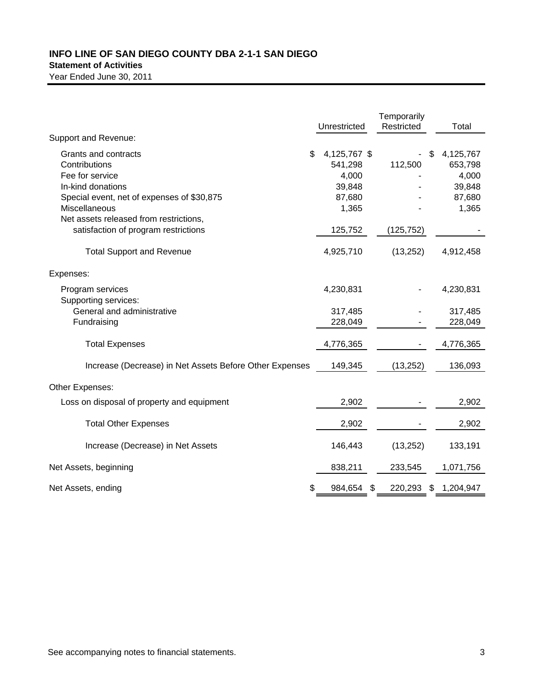### **INFO LINE OF SAN DIEGO COUNTY DBA 2-1-1 SAN DIEGO Statement of Activities**

|                                                                                |    | Unrestricted            | Temporarily<br>Restricted | Total                      |
|--------------------------------------------------------------------------------|----|-------------------------|---------------------------|----------------------------|
| Support and Revenue:                                                           |    |                         |                           |                            |
| Grants and contracts<br>Contributions                                          | \$ | 4,125,767 \$<br>541,298 | 112,500                   | \$<br>4,125,767<br>653,798 |
| Fee for service<br>In-kind donations                                           |    | 4,000<br>39,848         |                           | 4,000<br>39,848            |
| Special event, net of expenses of \$30,875<br>Miscellaneous                    |    | 87,680<br>1,365         |                           | 87,680<br>1,365            |
| Net assets released from restrictions,<br>satisfaction of program restrictions |    | 125,752                 | (125, 752)                |                            |
| <b>Total Support and Revenue</b>                                               |    | 4,925,710               | (13, 252)                 | 4,912,458                  |
| Expenses:                                                                      |    |                         |                           |                            |
| Program services<br>Supporting services:                                       |    | 4,230,831               |                           | 4,230,831                  |
| General and administrative<br>Fundraising                                      |    | 317,485<br>228,049      |                           | 317,485<br>228,049         |
| <b>Total Expenses</b>                                                          |    | 4,776,365               |                           | 4,776,365                  |
| Increase (Decrease) in Net Assets Before Other Expenses                        |    | 149,345                 | (13, 252)                 | 136,093                    |
| Other Expenses:                                                                |    |                         |                           |                            |
| Loss on disposal of property and equipment                                     |    | 2,902                   |                           | 2,902                      |
| <b>Total Other Expenses</b>                                                    |    | 2,902                   |                           | 2,902                      |
| Increase (Decrease) in Net Assets                                              |    | 146,443                 | (13, 252)                 | 133,191                    |
| Net Assets, beginning                                                          |    | 838,211                 | 233,545                   | 1,071,756                  |
| Net Assets, ending                                                             | S  | 984,654                 | \$<br>220,293             | \$<br>1,204,947            |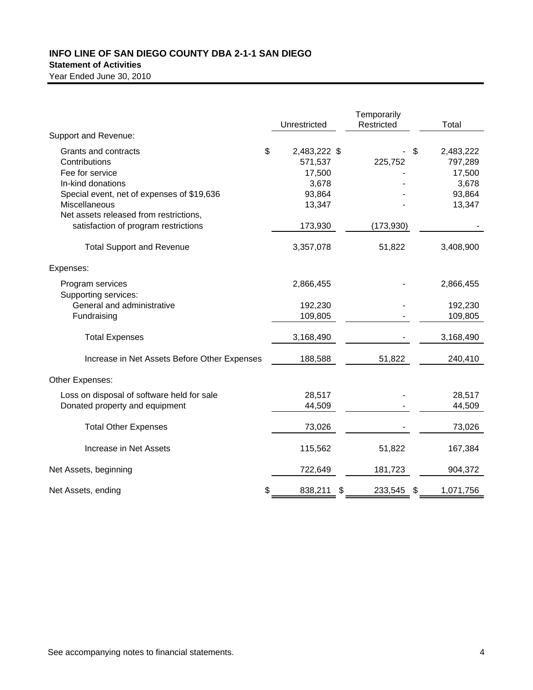# **Statement of Activities**

|                                                             | Unrestricted                  | Temporarily<br>Restricted | Total                      |
|-------------------------------------------------------------|-------------------------------|---------------------------|----------------------------|
| Support and Revenue:                                        |                               |                           |                            |
| Grants and contracts<br>Contributions                       | \$<br>2,483,222 \$<br>571,537 | 225,752                   | \$<br>2,483,222<br>797,289 |
| Fee for service                                             | 17,500                        |                           | 17,500                     |
| In-kind donations                                           | 3,678                         |                           | 3,678                      |
| Special event, net of expenses of \$19,636<br>Miscellaneous | 93,864<br>13,347              |                           | 93,864<br>13,347           |
| Net assets released from restrictions,                      |                               |                           |                            |
| satisfaction of program restrictions                        | 173,930                       | (173, 930)                |                            |
| <b>Total Support and Revenue</b>                            | 3,357,078                     | 51,822                    | 3,408,900                  |
| Expenses:                                                   |                               |                           |                            |
| Program services<br>Supporting services:                    | 2,866,455                     |                           | 2,866,455                  |
| General and administrative                                  | 192,230                       |                           | 192,230                    |
| Fundraising                                                 | 109,805                       |                           | 109,805                    |
| <b>Total Expenses</b>                                       | 3,168,490                     |                           | 3,168,490                  |
| Increase in Net Assets Before Other Expenses                | 188,588                       | 51,822                    | 240,410                    |
| Other Expenses:                                             |                               |                           |                            |
| Loss on disposal of software held for sale                  | 28,517                        |                           | 28,517                     |
| Donated property and equipment                              | 44,509                        |                           | 44,509                     |
| <b>Total Other Expenses</b>                                 | 73,026                        |                           | 73,026                     |
| Increase in Net Assets                                      | 115,562                       | 51,822                    | 167,384                    |
| Net Assets, beginning                                       | 722,649                       | 181,723                   | 904,372                    |
| Net Assets, ending                                          | \$<br>838,211                 | \$<br>233,545             | \$<br>1,071,756            |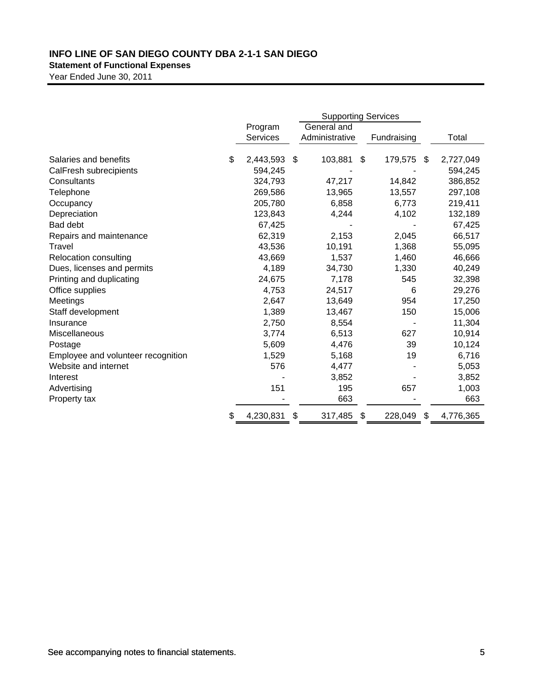# **Statement of Functional Expenses**

|                                    | <b>Supporting Services</b> |    |                |                |             |                 |
|------------------------------------|----------------------------|----|----------------|----------------|-------------|-----------------|
|                                    | Program                    |    | General and    |                |             |                 |
|                                    | Services                   |    | Administrative |                | Fundraising | Total           |
| Salaries and benefits              | \$<br>2,443,593            | \$ | 103,881        | $\mathfrak{S}$ | 179,575     | \$<br>2,727,049 |
| CalFresh subrecipients             | 594,245                    |    |                |                |             | 594,245         |
| Consultants                        | 324,793                    |    | 47,217         |                | 14,842      | 386,852         |
| Telephone                          | 269,586                    |    | 13,965         |                | 13,557      | 297,108         |
| Occupancy                          | 205,780                    |    | 6,858          |                | 6,773       | 219,411         |
| Depreciation                       | 123,843                    |    | 4,244          |                | 4,102       | 132,189         |
| Bad debt                           | 67,425                     |    |                |                |             | 67,425          |
| Repairs and maintenance            | 62,319                     |    | 2,153          |                | 2,045       | 66,517          |
| Travel                             | 43,536                     |    | 10,191         |                | 1,368       | 55,095          |
| Relocation consulting              | 43,669                     |    | 1,537          |                | 1,460       | 46,666          |
| Dues, licenses and permits         | 4,189                      |    | 34,730         |                | 1,330       | 40,249          |
| Printing and duplicating           | 24,675                     |    | 7,178          |                | 545         | 32,398          |
| Office supplies                    | 4,753                      |    | 24,517         |                | 6           | 29,276          |
| Meetings                           | 2,647                      |    | 13,649         |                | 954         | 17,250          |
| Staff development                  | 1,389                      |    | 13,467         |                | 150         | 15,006          |
| Insurance                          | 2,750                      |    | 8,554          |                |             | 11,304          |
| Miscellaneous                      | 3,774                      |    | 6,513          |                | 627         | 10,914          |
| Postage                            | 5,609                      |    | 4,476          |                | 39          | 10,124          |
| Employee and volunteer recognition | 1,529                      |    | 5,168          |                | 19          | 6,716           |
| Website and internet               | 576                        |    | 4,477          |                |             | 5,053           |
| Interest                           |                            |    | 3,852          |                |             | 3,852           |
| Advertising                        | 151                        |    | 195            |                | 657         | 1,003           |
| Property tax                       |                            |    | 663            |                |             | 663             |
|                                    | \$<br>4,230,831            | \$ | 317,485        | \$             | 228,049     | \$<br>4,776,365 |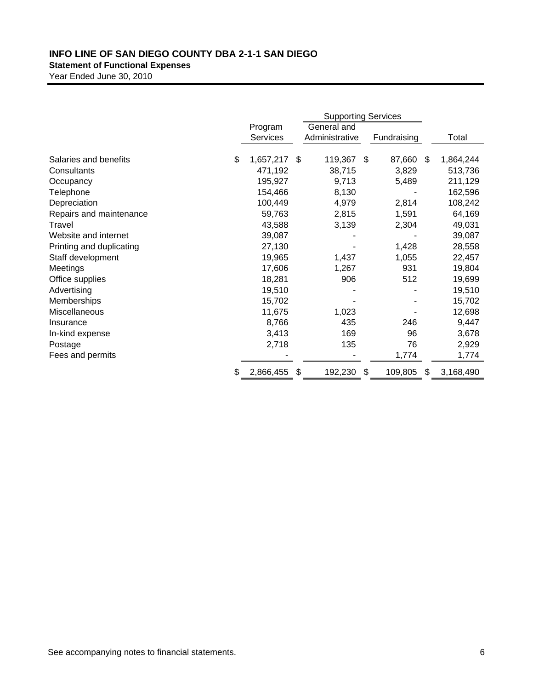# **Statement of Functional Expenses**

|                          | <b>Supporting Services</b> |    |                |    |             |    |           |
|--------------------------|----------------------------|----|----------------|----|-------------|----|-----------|
|                          | Program                    |    | General and    |    |             |    |           |
|                          | <b>Services</b>            |    | Administrative |    | Fundraising |    | Total     |
| Salaries and benefits    | \$<br>1,657,217            | \$ | 119,367        | \$ | 87,660      | \$ | 1,864,244 |
| Consultants              | 471,192                    |    | 38,715         |    | 3,829       |    | 513,736   |
| Occupancy                | 195,927                    |    | 9,713          |    | 5,489       |    | 211,129   |
| Telephone                | 154,466                    |    | 8,130          |    |             |    | 162,596   |
| Depreciation             | 100,449                    |    | 4,979          |    | 2,814       |    | 108,242   |
| Repairs and maintenance  | 59,763                     |    | 2,815          |    | 1,591       |    | 64,169    |
| Travel                   | 43,588                     |    | 3,139          |    | 2,304       |    | 49,031    |
| Website and internet     | 39,087                     |    |                |    |             |    | 39,087    |
| Printing and duplicating | 27,130                     |    |                |    | 1,428       |    | 28,558    |
| Staff development        | 19,965                     |    | 1,437          |    | 1,055       |    | 22,457    |
| Meetings                 | 17,606                     |    | 1,267          |    | 931         |    | 19,804    |
| Office supplies          | 18,281                     |    | 906            |    | 512         |    | 19,699    |
| Advertising              | 19,510                     |    |                |    |             |    | 19,510    |
| Memberships              | 15,702                     |    |                |    |             |    | 15,702    |
| Miscellaneous            | 11,675                     |    | 1,023          |    |             |    | 12,698    |
| Insurance                | 8,766                      |    | 435            |    | 246         |    | 9,447     |
| In-kind expense          | 3,413                      |    | 169            |    | 96          |    | 3,678     |
| Postage                  | 2,718                      |    | 135            |    | 76          |    | 2,929     |
| Fees and permits         |                            |    |                |    | 1,774       |    | 1,774     |
|                          | \$<br>2,866,455            | S  | 192,230        | \$ | 109,805     | S  | 3,168,490 |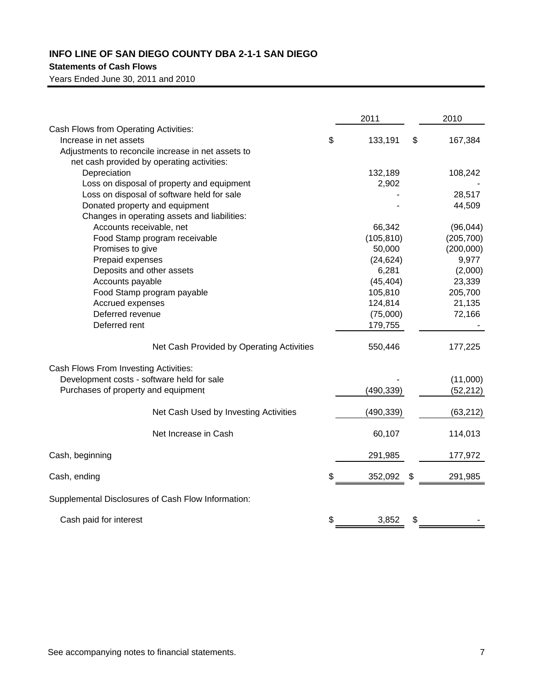# **Statements of Cash Flows**

Years Ended June 30, 2011 and 2010

|                                                    | 2011                | 2010       |
|----------------------------------------------------|---------------------|------------|
| Cash Flows from Operating Activities:              |                     |            |
| Increase in net assets                             | \$<br>133,191<br>\$ | 167,384    |
| Adjustments to reconcile increase in net assets to |                     |            |
| net cash provided by operating activities:         |                     |            |
| Depreciation                                       | 132,189             | 108,242    |
| Loss on disposal of property and equipment         | 2,902               |            |
| Loss on disposal of software held for sale         |                     | 28,517     |
| Donated property and equipment                     |                     | 44,509     |
| Changes in operating assets and liabilities:       |                     |            |
| Accounts receivable, net                           | 66,342              | (96, 044)  |
| Food Stamp program receivable                      | (105, 810)          | (205, 700) |
| Promises to give                                   | 50,000              | (200,000)  |
| Prepaid expenses                                   | (24, 624)           | 9,977      |
| Deposits and other assets                          | 6,281               | (2,000)    |
| Accounts payable                                   | (45, 404)           | 23,339     |
| Food Stamp program payable                         | 105,810             | 205,700    |
| Accrued expenses                                   | 124,814             | 21,135     |
| Deferred revenue                                   | (75,000)            | 72,166     |
| Deferred rent                                      | 179,755             |            |
| Net Cash Provided by Operating Activities          | 550,446             | 177,225    |
| Cash Flows From Investing Activities:              |                     |            |
| Development costs - software held for sale         |                     | (11,000)   |
| Purchases of property and equipment                | (490, 339)          | (52, 212)  |
| Net Cash Used by Investing Activities              | (490, 339)          | (63, 212)  |
| Net Increase in Cash                               | 60,107              | 114,013    |
| Cash, beginning                                    | 291,985             | 177,972    |
| Cash, ending                                       | \$<br>352,092<br>\$ | 291,985    |
| Supplemental Disclosures of Cash Flow Information: |                     |            |
| Cash paid for interest                             | \$<br>3,852<br>\$   |            |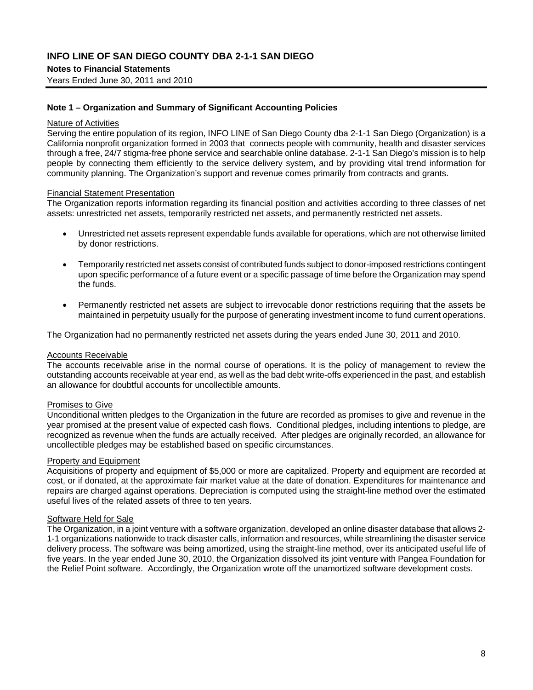## **Notes to Financial Statements**

Years Ended June 30, 2011 and 2010

#### **Note 1 – Organization and Summary of Significant Accounting Policies**

#### Nature of Activities

Serving the entire population of its region, INFO LINE of San Diego County dba 2-1-1 San Diego (Organization) is a California nonprofit organization formed in 2003 that connects people with community, health and disaster services through a free, 24/7 stigma-free phone service and searchable online database. 2-1-1 San Diego's mission is to help people by connecting them efficiently to the service delivery system, and by providing vital trend information for community planning. The Organization's support and revenue comes primarily from contracts and grants.

#### Financial Statement Presentation

The Organization reports information regarding its financial position and activities according to three classes of net assets: unrestricted net assets, temporarily restricted net assets, and permanently restricted net assets.

- Unrestricted net assets represent expendable funds available for operations, which are not otherwise limited by donor restrictions.
- Temporarily restricted net assets consist of contributed funds subject to donor-imposed restrictions contingent upon specific performance of a future event or a specific passage of time before the Organization may spend the funds.
- Permanently restricted net assets are subject to irrevocable donor restrictions requiring that the assets be maintained in perpetuity usually for the purpose of generating investment income to fund current operations.

The Organization had no permanently restricted net assets during the years ended June 30, 2011 and 2010.

#### **Accounts Receivable**

The accounts receivable arise in the normal course of operations. It is the policy of management to review the outstanding accounts receivable at year end, as well as the bad debt write-offs experienced in the past, and establish an allowance for doubtful accounts for uncollectible amounts.

#### Promises to Give

Unconditional written pledges to the Organization in the future are recorded as promises to give and revenue in the year promised at the present value of expected cash flows. Conditional pledges, including intentions to pledge, are recognized as revenue when the funds are actually received. After pledges are originally recorded, an allowance for uncollectible pledges may be established based on specific circumstances.

#### Property and Equipment

Acquisitions of property and equipment of \$5,000 or more are capitalized. Property and equipment are recorded at cost, or if donated, at the approximate fair market value at the date of donation. Expenditures for maintenance and repairs are charged against operations. Depreciation is computed using the straight-line method over the estimated useful lives of the related assets of three to ten years.

# Software Held for Sale

The Organization, in a joint venture with a software organization, developed an online disaster database that allows 2- 1-1 organizations nationwide to track disaster calls, information and resources, while streamlining the disaster service delivery process. The software was being amortized, using the straight-line method, over its anticipated useful life of five years. In the year ended June 30, 2010, the Organization dissolved its joint venture with Pangea Foundation for the Relief Point software. Accordingly, the Organization wrote off the unamortized software development costs.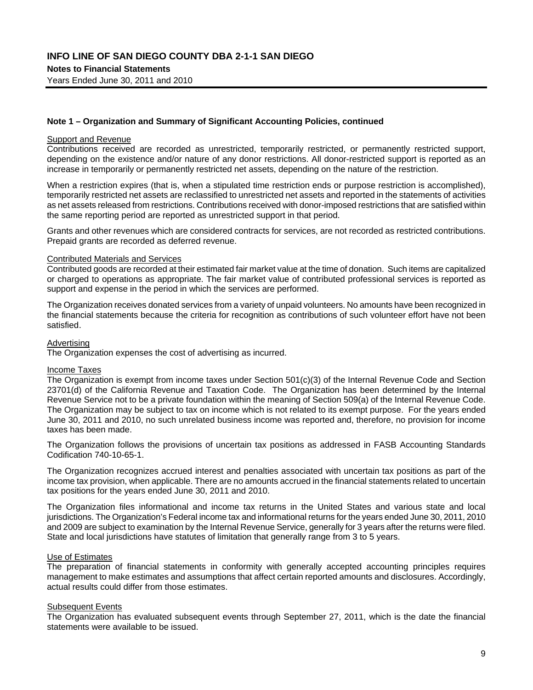Years Ended June 30, 2011 and 2010

#### **Note 1 – Organization and Summary of Significant Accounting Policies, continued**

#### Support and Revenue

Contributions received are recorded as unrestricted, temporarily restricted, or permanently restricted support, depending on the existence and/or nature of any donor restrictions. All donor-restricted support is reported as an increase in temporarily or permanently restricted net assets, depending on the nature of the restriction.

When a restriction expires (that is, when a stipulated time restriction ends or purpose restriction is accomplished), temporarily restricted net assets are reclassified to unrestricted net assets and reported in the statements of activities as net assets released from restrictions. Contributions received with donor-imposed restrictions that are satisfied within the same reporting period are reported as unrestricted support in that period.

Grants and other revenues which are considered contracts for services, are not recorded as restricted contributions. Prepaid grants are recorded as deferred revenue.

#### Contributed Materials and Services

Contributed goods are recorded at their estimated fair market value at the time of donation. Such items are capitalized or charged to operations as appropriate. The fair market value of contributed professional services is reported as support and expense in the period in which the services are performed.

The Organization receives donated services from a variety of unpaid volunteers. No amounts have been recognized in the financial statements because the criteria for recognition as contributions of such volunteer effort have not been satisfied.

#### Advertising

The Organization expenses the cost of advertising as incurred.

#### Income Taxes

The Organization is exempt from income taxes under Section 501(c)(3) of the Internal Revenue Code and Section 23701(d) of the California Revenue and Taxation Code. The Organization has been determined by the Internal Revenue Service not to be a private foundation within the meaning of Section 509(a) of the Internal Revenue Code. The Organization may be subject to tax on income which is not related to its exempt purpose. For the years ended June 30, 2011 and 2010, no such unrelated business income was reported and, therefore, no provision for income taxes has been made.

The Organization follows the provisions of uncertain tax positions as addressed in FASB Accounting Standards Codification 740-10-65-1.

The Organization recognizes accrued interest and penalties associated with uncertain tax positions as part of the income tax provision, when applicable. There are no amounts accrued in the financial statements related to uncertain tax positions for the years ended June 30, 2011 and 2010.

The Organization files informational and income tax returns in the United States and various state and local jurisdictions. The Organization's Federal income tax and informational returns for the years ended June 30, 2011, 2010 and 2009 are subject to examination by the Internal Revenue Service, generally for 3 years after the returns were filed. State and local jurisdictions have statutes of limitation that generally range from 3 to 5 years.

#### Use of Estimates

The preparation of financial statements in conformity with generally accepted accounting principles requires management to make estimates and assumptions that affect certain reported amounts and disclosures. Accordingly, actual results could differ from those estimates.

#### Subsequent Events

The Organization has evaluated subsequent events through September 27, 2011, which is the date the financial statements were available to be issued.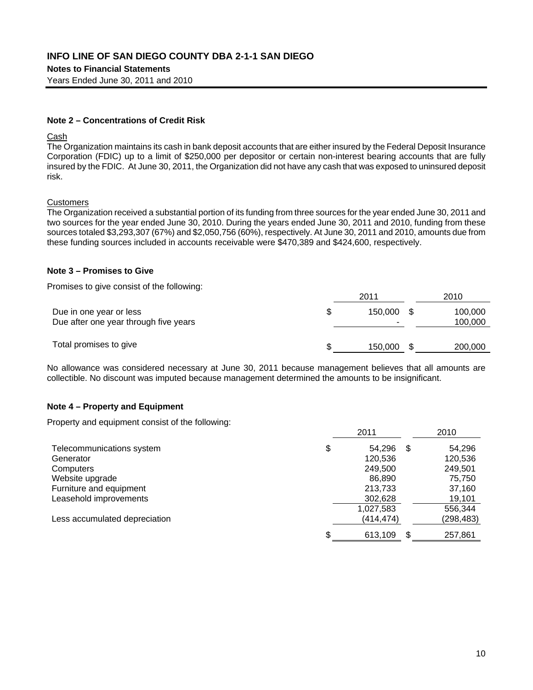**Notes to Financial Statements** 

Years Ended June 30, 2011 and 2010

#### **Note 2 – Concentrations of Credit Risk**

#### Cash

The Organization maintains its cash in bank deposit accounts that are either insured by the Federal Deposit Insurance Corporation (FDIC) up to a limit of \$250,000 per depositor or certain non-interest bearing accounts that are fully insured by the FDIC. At June 30, 2011, the Organization did not have any cash that was exposed to uninsured deposit risk.

#### **Customers**

The Organization received a substantial portion of its funding from three sources for the year ended June 30, 2011 and two sources for the year ended June 30, 2010. During the years ended June 30, 2011 and 2010, funding from these sources totaled \$3,293,307 (67%) and \$2,050,756 (60%), respectively. At June 30, 2011 and 2010, amounts due from these funding sources included in accounts receivable were \$470,389 and \$424,600, respectively.

#### **Note 3 – Promises to Give**

Promises to give consist of the following:

|                                                                  |   | 2011    | 2010               |
|------------------------------------------------------------------|---|---------|--------------------|
| Due in one year or less<br>Due after one year through five years |   | 150.000 | 100,000<br>100,000 |
| Total promises to give                                           | S | 150,000 | 200,000            |

No allowance was considered necessary at June 30, 2011 because management believes that all amounts are collectible. No discount was imputed because management determined the amounts to be insignificant.

### **Note 4 – Property and Equipment**

Property and equipment consist of the following:

|                               | 2011          | 2010          |
|-------------------------------|---------------|---------------|
| Telecommunications system     | \$<br>54,296  | \$<br>54,296  |
| Generator                     | 120.536       | 120,536       |
| Computers                     | 249,500       | 249,501       |
| Website upgrade               | 86.890        | 75,750        |
| Furniture and equipment       | 213,733       | 37,160        |
| Leasehold improvements        | 302,628       | 19,101        |
|                               | 1,027,583     | 556,344       |
| Less accumulated depreciation | (414,474)     | (298, 483)    |
|                               | \$<br>613,109 | \$<br>257,861 |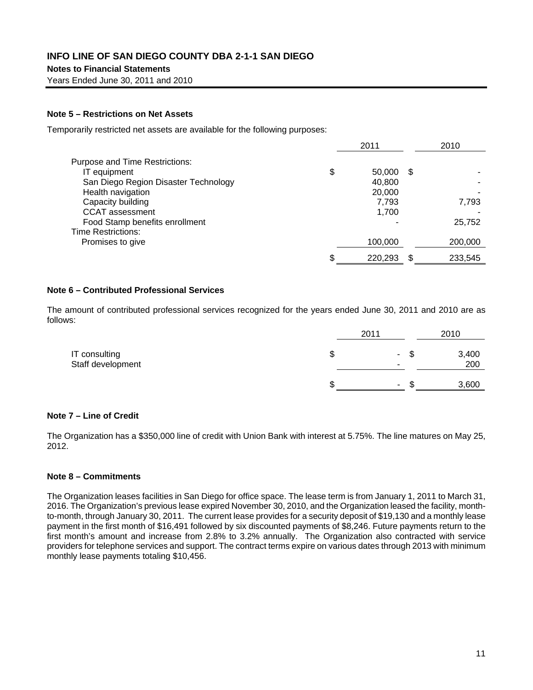Years Ended June 30, 2011 and 2010

#### **Note 5 – Restrictions on Net Assets**

Temporarily restricted net assets are available for the following purposes:

|                                       |    | 2011    |      | 2010    |
|---------------------------------------|----|---------|------|---------|
| <b>Purpose and Time Restrictions:</b> |    |         |      |         |
| IT equipment                          | \$ | 50,000  | - \$ |         |
| San Diego Region Disaster Technology  |    | 40.800  |      |         |
| Health navigation                     |    | 20,000  |      |         |
| Capacity building                     |    | 7,793   |      | 7,793   |
| <b>CCAT</b> assessment                |    | 1,700   |      |         |
| Food Stamp benefits enrollment        |    |         |      | 25,752  |
| Time Restrictions:                    |    |         |      |         |
| Promises to give                      |    | 100,000 |      | 200,000 |
|                                       | S  | 220,293 |      | 233,545 |

#### **Note 6 – Contributed Professional Services**

The amount of contributed professional services recognized for the years ended June 30, 2011 and 2010 are as follows:

|                                    |   | 2011           |    | 2010         |
|------------------------------------|---|----------------|----|--------------|
| IT consulting<br>Staff development | Œ | $\blacksquare$ | -S | 3,400<br>200 |
|                                    |   | $\blacksquare$ | лD | 3,600        |

#### **Note 7 – Line of Credit**

The Organization has a \$350,000 line of credit with Union Bank with interest at 5.75%. The line matures on May 25, 2012.

#### **Note 8 – Commitments**

The Organization leases facilities in San Diego for office space. The lease term is from January 1, 2011 to March 31, 2016. The Organization's previous lease expired November 30, 2010, and the Organization leased the facility, monthto-month, through January 30, 2011. The current lease provides for a security deposit of \$19,130 and a monthly lease payment in the first month of \$16,491 followed by six discounted payments of \$8,246. Future payments return to the first month's amount and increase from 2.8% to 3.2% annually. The Organization also contracted with service providers for telephone services and support. The contract terms expire on various dates through 2013 with minimum monthly lease payments totaling \$10,456.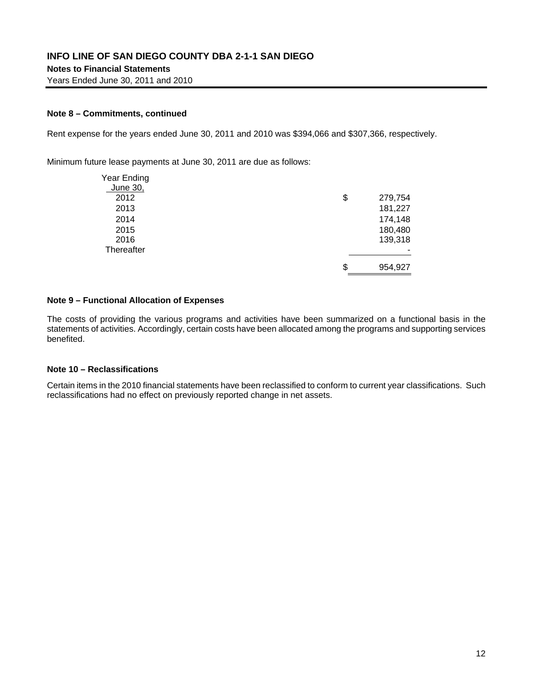#### **Note 8 – Commitments, continued**

Rent expense for the years ended June 30, 2011 and 2010 was \$394,066 and \$307,366, respectively.

Minimum future lease payments at June 30, 2011 are due as follows:

| Year Ending |               |
|-------------|---------------|
| June 30,    |               |
| 2012        | \$<br>279,754 |
| 2013        | 181,227       |
| 2014        | 174,148       |
| 2015        | 180,480       |
| 2016        | 139,318       |
| Thereafter  |               |
|             | \$<br>954,927 |

#### **Note 9 – Functional Allocation of Expenses**

The costs of providing the various programs and activities have been summarized on a functional basis in the statements of activities. Accordingly, certain costs have been allocated among the programs and supporting services benefited.

#### **Note 10 – Reclassifications**

Certain items in the 2010 financial statements have been reclassified to conform to current year classifications. Such reclassifications had no effect on previously reported change in net assets.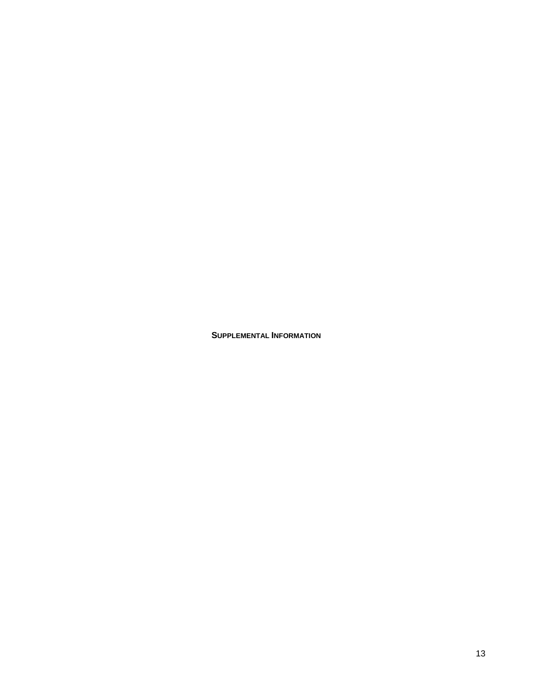**SUPPLEMENTAL INFORMATION**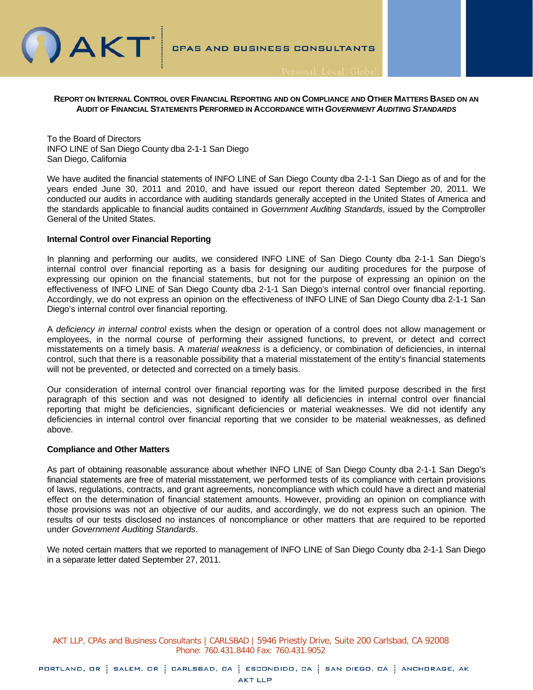

#### **REPORT ON INTERNAL CONTROL OVER FINANCIAL REPORTING AND ON COMPLIANCE AND OTHER MATTERS BASED ON AN AUDIT OF FINANCIAL STATEMENTS PERFORMED IN ACCORDANCE WITH** *GOVERNMENT AUDITING STANDARDS*

To the Board of Directors INFO LINE of San Diego County dba 2-1-1 San Diego San Diego, California

We have audited the financial statements of INFO LINE of San Diego County dba 2-1-1 San Diego as of and for the years ended June 30, 2011 and 2010, and have issued our report thereon dated September 20, 2011. We conducted our audits in accordance with auditing standards generally accepted in the United States of America and the standards applicable to financial audits contained in *Government Auditing Standards*, issued by the Comptroller General of the United States.

#### **Internal Control over Financial Reporting**

In planning and performing our audits, we considered INFO LINE of San Diego County dba 2-1-1 San Diego's internal control over financial reporting as a basis for designing our auditing procedures for the purpose of expressing our opinion on the financial statements, but not for the purpose of expressing an opinion on the effectiveness of INFO LINE of San Diego County dba 2-1-1 San Diego's internal control over financial reporting. Accordingly, we do not express an opinion on the effectiveness of INFO LINE of San Diego County dba 2-1-1 San Diego's internal control over financial reporting.

A *deficiency in internal control* exists when the design or operation of a control does not allow management or employees, in the normal course of performing their assigned functions, to prevent, or detect and correct misstatements on a timely basis. A *material weakness* is a deficiency, or combination of deficiencies, in internal control, such that there is a reasonable possibility that a material misstatement of the entity's financial statements will not be prevented, or detected and corrected on a timely basis.

Our consideration of internal control over financial reporting was for the limited purpose described in the first paragraph of this section and was not designed to identify all deficiencies in internal control over financial reporting that might be deficiencies, significant deficiencies or material weaknesses. We did not identify any deficiencies in internal control over financial reporting that we consider to be material weaknesses, as defined above.

#### **Compliance and Other Matters**

As part of obtaining reasonable assurance about whether INFO LINE of San Diego County dba 2-1-1 San Diego's financial statements are free of material misstatement, we performed tests of its compliance with certain provisions of laws, regulations, contracts, and grant agreements, noncompliance with which could have a direct and material effect on the determination of financial statement amounts. However, providing an opinion on compliance with those provisions was not an objective of our audits, and accordingly, we do not express such an opinion. The results of our tests disclosed no instances of noncompliance or other matters that are required to be reported under *Government Auditing Standards*.

We noted certain matters that we reported to management of INFO LINE of San Diego County dba 2-1-1 San Diego in a separate letter dated September 27, 2011.

AKT LLP, CPAs and Business Consultants | CARLSBAD | 5946 Priestly Drive, Suite 200 Carlsbad, CA 92008 Phone: 760.431.8440 Fax: 760.431.9052

PORTLAND, OR | SALEM, OR | CARLSBAD, CA | ESCONDIDO, CA | SAN DIEGO, CA | ANCHORAGE, AK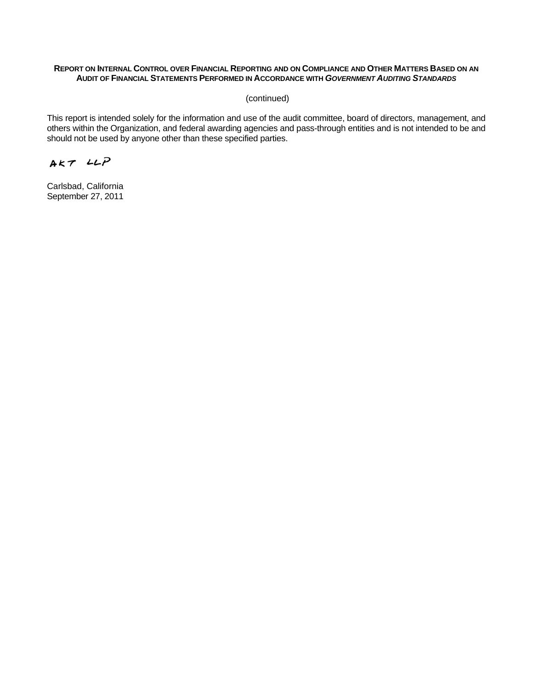#### **REPORT ON INTERNAL CONTROL OVER FINANCIAL REPORTING AND ON COMPLIANCE AND OTHER MATTERS BASED ON AN AUDIT OF FINANCIAL STATEMENTS PERFORMED IN ACCORDANCE WITH** *GOVERNMENT AUDITING STANDARDS*

(continued)

This report is intended solely for the information and use of the audit committee, board of directors, management, and others within the Organization, and federal awarding agencies and pass-through entities and is not intended to be and should not be used by anyone other than these specified parties.

 $AKTLLP$ 

Carlsbad, California September 27, 2011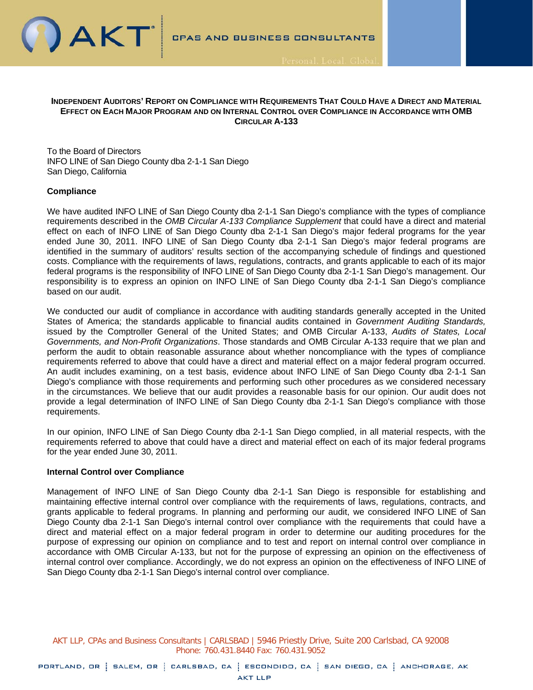

#### **INDEPENDENT AUDITORS' REPORT ON COMPLIANCE WITH REQUIREMENTS THAT COULD HAVE A DIRECT AND MATERIAL EFFECT ON EACH MAJOR PROGRAM AND ON INTERNAL CONTROL OVER COMPLIANCE IN ACCORDANCE WITH OMB CIRCULAR A-133**

To the Board of Directors INFO LINE of San Diego County dba 2-1-1 San Diego San Diego, California

#### **Compliance**

We have audited INFO LINE of San Diego County dba 2-1-1 San Diego's compliance with the types of compliance requirements described in the *OMB Circular A-133 Compliance Supplement* that could have a direct and material effect on each of INFO LINE of San Diego County dba 2-1-1 San Diego's major federal programs for the year ended June 30, 2011. INFO LINE of San Diego County dba 2-1-1 San Diego's major federal programs are identified in the summary of auditors' results section of the accompanying schedule of findings and questioned costs. Compliance with the requirements of laws, regulations, contracts, and grants applicable to each of its major federal programs is the responsibility of INFO LINE of San Diego County dba 2-1-1 San Diego's management. Our responsibility is to express an opinion on INFO LINE of San Diego County dba 2-1-1 San Diego's compliance based on our audit.

We conducted our audit of compliance in accordance with auditing standards generally accepted in the United States of America; the standards applicable to financial audits contained in *Government Auditing Standards,* issued by the Comptroller General of the United States; and OMB Circular A-133, *Audits of States, Local Governments, and Non-Profit Organizations*. Those standards and OMB Circular A-133 require that we plan and perform the audit to obtain reasonable assurance about whether noncompliance with the types of compliance requirements referred to above that could have a direct and material effect on a major federal program occurred. An audit includes examining, on a test basis, evidence about INFO LINE of San Diego County dba 2-1-1 San Diego's compliance with those requirements and performing such other procedures as we considered necessary in the circumstances. We believe that our audit provides a reasonable basis for our opinion. Our audit does not provide a legal determination of INFO LINE of San Diego County dba 2-1-1 San Diego's compliance with those requirements.

In our opinion, INFO LINE of San Diego County dba 2-1-1 San Diego complied, in all material respects, with the requirements referred to above that could have a direct and material effect on each of its major federal programs for the year ended June 30, 2011.

#### **Internal Control over Compliance**

Management of INFO LINE of San Diego County dba 2-1-1 San Diego is responsible for establishing and maintaining effective internal control over compliance with the requirements of laws, regulations, contracts, and grants applicable to federal programs. In planning and performing our audit, we considered INFO LINE of San Diego County dba 2-1-1 San Diego's internal control over compliance with the requirements that could have a direct and material effect on a major federal program in order to determine our auditing procedures for the purpose of expressing our opinion on compliance and to test and report on internal control over compliance in accordance with OMB Circular A-133, but not for the purpose of expressing an opinion on the effectiveness of internal control over compliance. Accordingly, we do not express an opinion on the effectiveness of INFO LINE of San Diego County dba 2-1-1 San Diego's internal control over compliance.

AKT LLP, CPAs and Business Consultants | CARLSBAD | 5946 Priestly Drive, Suite 200 Carlsbad, CA 92008 Phone: 760.431.8440 Fax: 760.431.9052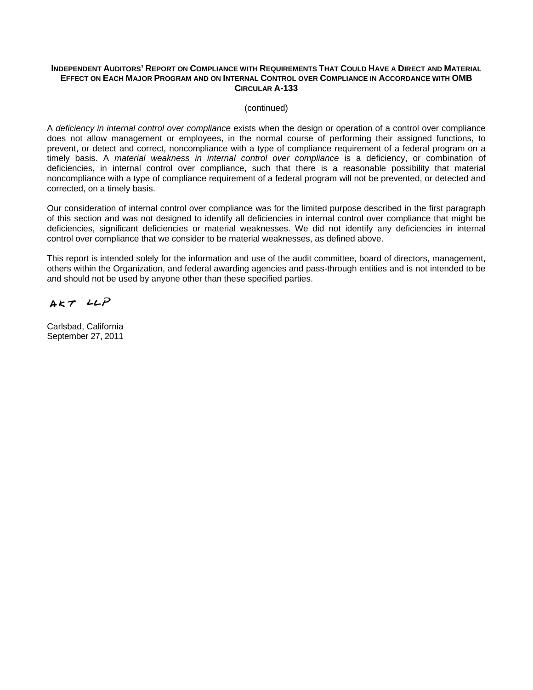#### **INDEPENDENT AUDITORS' REPORT ON COMPLIANCE WITH REQUIREMENTS THAT COULD HAVE A DIRECT AND MATERIAL EFFECT ON EACH MAJOR PROGRAM AND ON INTERNAL CONTROL OVER COMPLIANCE IN ACCORDANCE WITH OMB CIRCULAR A-133**

(continued)

A *deficiency in internal control over compliance* exists when the design or operation of a control over compliance does not allow management or employees, in the normal course of performing their assigned functions, to prevent, or detect and correct, noncompliance with a type of compliance requirement of a federal program on a timely basis. A *material weakness in internal control over compliance* is a deficiency, or combination of deficiencies, in internal control over compliance, such that there is a reasonable possibility that material noncompliance with a type of compliance requirement of a federal program will not be prevented, or detected and corrected, on a timely basis.

Our consideration of internal control over compliance was for the limited purpose described in the first paragraph of this section and was not designed to identify all deficiencies in internal control over compliance that might be deficiencies, significant deficiencies or material weaknesses. We did not identify any deficiencies in internal control over compliance that we consider to be material weaknesses, as defined above.

This report is intended solely for the information and use of the audit committee, board of directors, management, others within the Organization, and federal awarding agencies and pass-through entities and is not intended to be and should not be used by anyone other than these specified parties.

 $AKTLLP$ 

Carlsbad, California September 27, 2011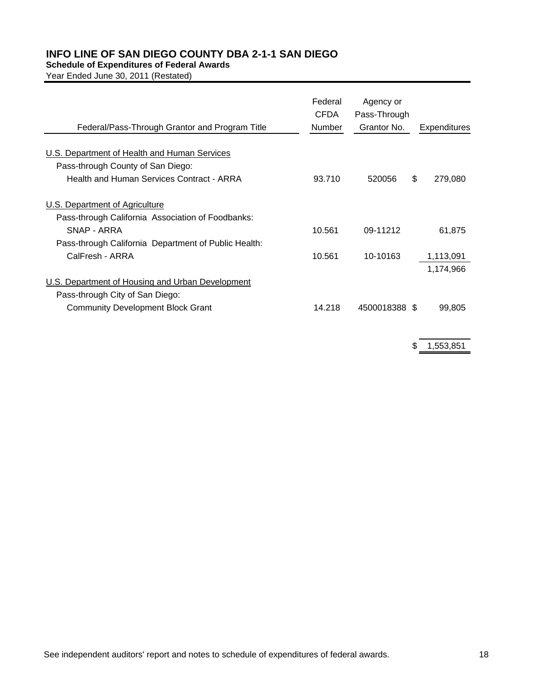#### **Schedule of Expenditures of Federal Awards**

Year Ended June 30, 2011 (Restated)

| Federal/Pass-Through Grantor and Program Title       | Federal<br>CFDA<br><b>Number</b> | Agency or<br>Pass-Through<br>Grantor No. |     | Expenditures |
|------------------------------------------------------|----------------------------------|------------------------------------------|-----|--------------|
| U.S. Department of Health and Human Services         |                                  |                                          |     |              |
| Pass-through County of San Diego:                    |                                  |                                          |     |              |
| Health and Human Services Contract - ARRA            | 93.710                           | 520056                                   | \$. | 279,080      |
| U.S. Department of Agriculture                       |                                  |                                          |     |              |
| Pass-through California Association of Foodbanks:    |                                  |                                          |     |              |
| SNAP - ARRA                                          | 10.561                           | 09-11212                                 |     | 61,875       |
| Pass-through California Department of Public Health: |                                  |                                          |     |              |
| CalFresh - ARRA                                      | 10.561                           | 10-10163                                 |     | 1,113,091    |
|                                                      |                                  |                                          |     | 1,174,966    |
| U.S. Department of Housing and Urban Development     |                                  |                                          |     |              |
| Pass-through City of San Diego:                      |                                  |                                          |     |              |
| <b>Community Development Block Grant</b>             | 14.218                           | 4500018388 \$                            |     | 99,805       |

\$ 1,553,851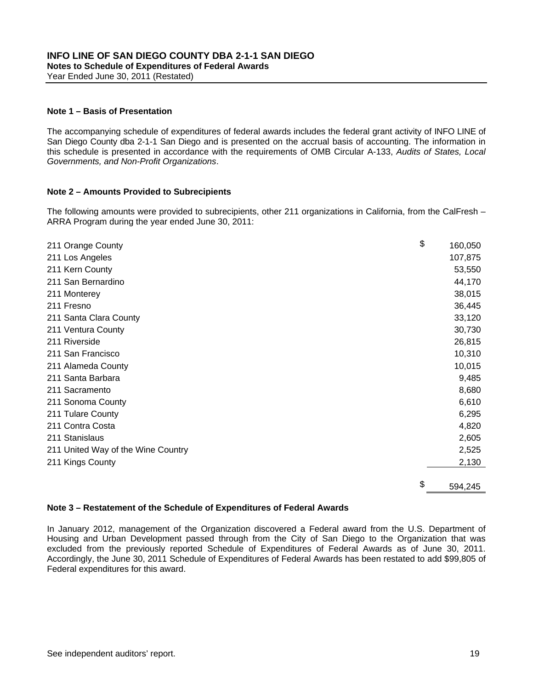Year Ended June 30, 2011 (Restated)

#### **Note 1 – Basis of Presentation**

The accompanying schedule of expenditures of federal awards includes the federal grant activity of INFO LINE of San Diego County dba 2-1-1 San Diego and is presented on the accrual basis of accounting. The information in this schedule is presented in accordance with the requirements of OMB Circular A-133, *Audits of States, Local Governments, and Non-Profit Organizations*.

#### **Note 2 – Amounts Provided to Subrecipients**

The following amounts were provided to subrecipients, other 211 organizations in California, from the CalFresh – ARRA Program during the year ended June 30, 2011:

| 211 Orange County                  | \$<br>160,050 |
|------------------------------------|---------------|
| 211 Los Angeles                    | 107,875       |
| 211 Kern County                    | 53,550        |
| 211 San Bernardino                 | 44,170        |
| 211 Monterey                       | 38,015        |
| 211 Fresno                         | 36,445        |
| 211 Santa Clara County             | 33,120        |
| 211 Ventura County                 | 30,730        |
| 211 Riverside                      | 26,815        |
| 211 San Francisco                  | 10,310        |
| 211 Alameda County                 | 10,015        |
| 211 Santa Barbara                  | 9,485         |
| 211 Sacramento                     | 8,680         |
| 211 Sonoma County                  | 6,610         |
| 211 Tulare County                  | 6,295         |
| 211 Contra Costa                   | 4,820         |
| 211 Stanislaus                     | 2,605         |
| 211 United Way of the Wine Country | 2,525         |
| 211 Kings County                   | 2,130         |
|                                    |               |
|                                    | \$<br>594,245 |

#### **Note 3 – Restatement of the Schedule of Expenditures of Federal Awards**

In January 2012, management of the Organization discovered a Federal award from the U.S. Department of Housing and Urban Development passed through from the City of San Diego to the Organization that was excluded from the previously reported Schedule of Expenditures of Federal Awards as of June 30, 2011. Accordingly, the June 30, 2011 Schedule of Expenditures of Federal Awards has been restated to add \$99,805 of Federal expenditures for this award.